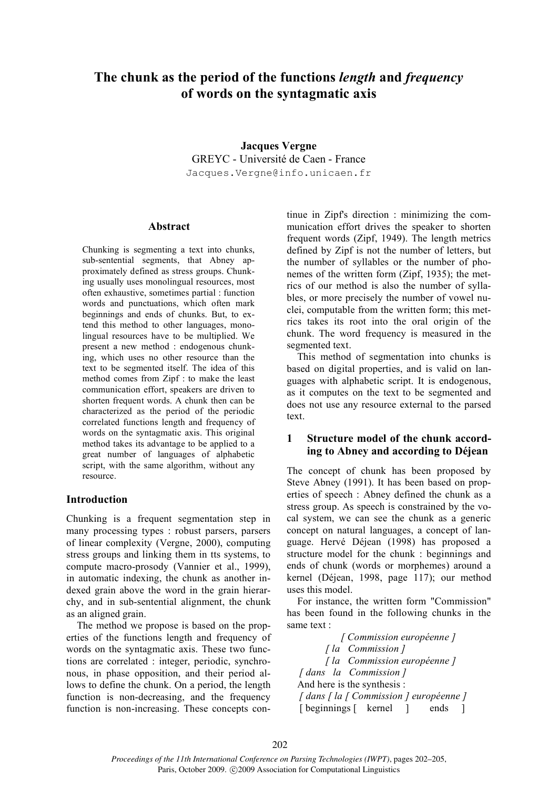# **The chunk as the period of the functions** *length* **and** *frequency* **of words on the syntagmatic axis**

**Jacques Vergne** GREYC - Université de Caen - France Jacques.Vergne@info.unicaen.fr

#### **Abstract**

Chunking is segmenting a text into chunks, sub-sentential segments, that Abney approximately defined as stress groups. Chunking usually uses monolingual resources, most often exhaustive, sometimes partial : function words and punctuations, which often mark beginnings and ends of chunks. But, to extend this method to other languages, monolingual resources have to be multiplied. We present a new method : endogenous chunking, which uses no other resource than the text to be segmented itself. The idea of this method comes from Zipf : to make the least communication effort, speakers are driven to shorten frequent words. A chunk then can be characterized as the period of the periodic correlated functions length and frequency of words on the syntagmatic axis. This original method takes its advantage to be applied to a great number of languages of alphabetic script, with the same algorithm, without any resource.

### **Introduction**

Chunking is a frequent segmentation step in many processing types : robust parsers, parsers of linear complexity (Vergne, 2000), computing stress groups and linking them in tts systems, to compute macro-prosody (Vannier et al., 1999), in automatic indexing, the chunk as another indexed grain above the word in the grain hierarchy, and in sub-sentential alignment, the chunk as an aligned grain.

The method we propose is based on the properties of the functions length and frequency of words on the syntagmatic axis. These two functions are correlated : integer, periodic, synchronous, in phase opposition, and their period allows to define the chunk. On a period, the length function is non-decreasing, and the frequency function is non-increasing. These concepts continue in Zipf's direction : minimizing the communication effort drives the speaker to shorten frequent words (Zipf, 1949). The length metrics defined by Zipf is not the number of letters, but the number of syllables or the number of phonemes of the written form (Zipf, 1935); the metrics of our method is also the number of syllables, or more precisely the number of vowel nuclei, computable from the written form; this metrics takes its root into the oral origin of the chunk. The word frequency is measured in the segmented text.

This method of segmentation into chunks is based on digital properties, and is valid on languages with alphabetic script. It is endogenous, as it computes on the text to be segmented and does not use any resource external to the parsed text.

### **1 Structure model of the chunk according to Abney and according to Déjean**

The concept of chunk has been proposed by Steve Abney (1991). It has been based on properties of speech : Abney defined the chunk as a stress group. As speech is constrained by the vocal system, we can see the chunk as a generic concept on natural languages, a concept of language. Hervé Déjean (1998) has proposed a structure model for the chunk : beginnings and ends of chunk (words or morphemes) around a kernel (Déjean, 1998, page 117); our method uses this model.

For instance, the written form "Commission" has been found in the following chunks in the same text :

*[ Commission européenne ] [ la Commission ] [ la Commission européenne ] [ dans la Commission ]* And here is the synthesis : *[ dans [ la [ Commission ] européenne ]* [ beginnings [ kernel ] ends ]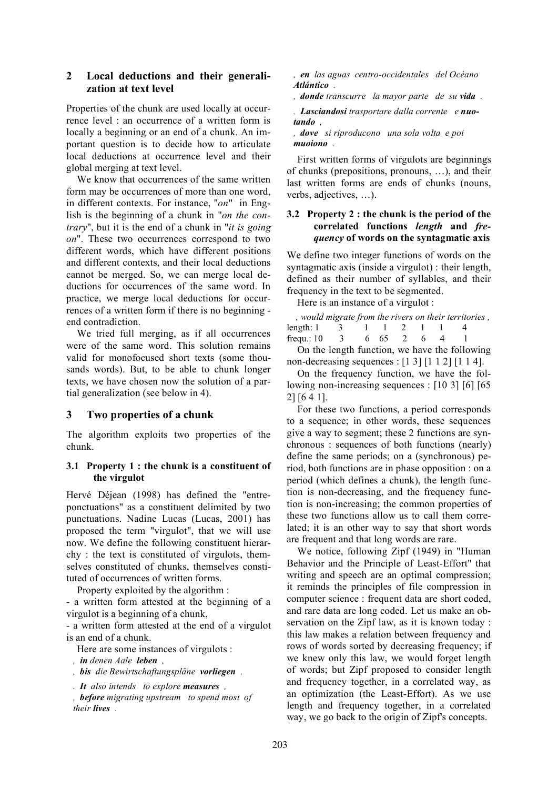## **2 Local deductions and their generalization at text level**

Properties of the chunk are used locally at occurrence level : an occurrence of a written form is locally a beginning or an end of a chunk. An important question is to decide how to articulate local deductions at occurrence level and their global merging at text level.

We know that occurrences of the same written form may be occurrences of more than one word, in different contexts. For instance, "*on*" in English is the beginning of a chunk in "*on the contrary*", but it is the end of a chunk in "*it is going on*". These two occurrences correspond to two different words, which have different positions and different contexts, and their local deductions cannot be merged. So, we can merge local deductions for occurrences of the same word. In practice, we merge local deductions for occurrences of a written form if there is no beginning end contradiction.

We tried full merging, as if all occurrences were of the same word. This solution remains valid for monofocused short texts (some thousands words). But, to be able to chunk longer texts, we have chosen now the solution of a partial generalization (see below in 4).

## **3 Two properties of a chunk**

The algorithm exploits two properties of the chunk.

### **3.1 Property 1 : the chunk is a constituent of the virgulot**

Hervé Déjean (1998) has defined the "entreponctuations" as a constituent delimited by two punctuations. Nadine Lucas (Lucas, 2001) has proposed the term "virgulot", that we will use now. We define the following constituent hierarchy : the text is constituted of virgulots, themselves constituted of chunks, themselves constituted of occurrences of written forms.

Property exploited by the algorithm :

- a written form attested at the beginning of a virgulot is a beginning of a chunk,

- a written form attested at the end of a virgulot is an end of a chunk.

Here are some instances of virgulots :

- *, in denen Aale leben ,*
- *, bis die Bewirtschaftungspläne vorliegen .*
- *. It also intends to explore measures ,*

*, before migrating upstream to spend most of their lives .*

*, en las aguas centro-occidentales del Océano Atlántico .*

*, donde transcurre la mayor parte de su vida .*

*. Lasciandosi trasportare dalla corrente e nuotando ,*

*, dove si riproducono una sola volta e poi muoiono .*

First written forms of virgulots are beginnings of chunks (prepositions, pronouns, …), and their last written forms are ends of chunks (nouns, verbs, adjectives, …).

#### **3.2 Property 2 : the chunk is the period of the correlated functions** *length* **and** *frequency* **of words on the syntagmatic axis**

We define two integer functions of words on the syntagmatic axis (inside a virgulot) : their length, defined as their number of syllables, and their frequency in the text to be segmented.

Here is an instance of a virgulot :

|                                           | , would migrate from the rivers on their territories, |  |  |  |  |
|-------------------------------------------|-------------------------------------------------------|--|--|--|--|
| length: $1 \t 3 \t 1 \t 1 \t 2 \t 1 \t 1$ |                                                       |  |  |  |  |
| frequ.: 10 3 6 65 2 6                     |                                                       |  |  |  |  |
|                                           |                                                       |  |  |  |  |

On the length function, we have the following non-decreasing sequences : [1 3] [1 1 2] [1 1 4].

On the frequency function, we have the following non-increasing sequences : [10 3] [6] [65] 2] [6 4 1].

For these two functions, a period corresponds to a sequence; in other words, these sequences give a way to segment; these 2 functions are synchronous : sequences of both functions (nearly) define the same periods; on a (synchronous) period, both functions are in phase opposition : on a period (which defines a chunk), the length function is non-decreasing, and the frequency function is non-increasing; the common properties of these two functions allow us to call them correlated; it is an other way to say that short words are frequent and that long words are rare.

We notice, following Zipf (1949) in "Human Behavior and the Principle of Least-Effort" that writing and speech are an optimal compression; it reminds the principles of file compression in computer science : frequent data are short coded, and rare data are long coded. Let us make an observation on the Zipf law, as it is known today : this law makes a relation between frequency and rows of words sorted by decreasing frequency; if we knew only this law, we would forget length of words; but Zipf proposed to consider length and frequency together, in a correlated way, as an optimization (the Least-Effort). As we use length and frequency together, in a correlated way, we go back to the origin of Zipf's concepts.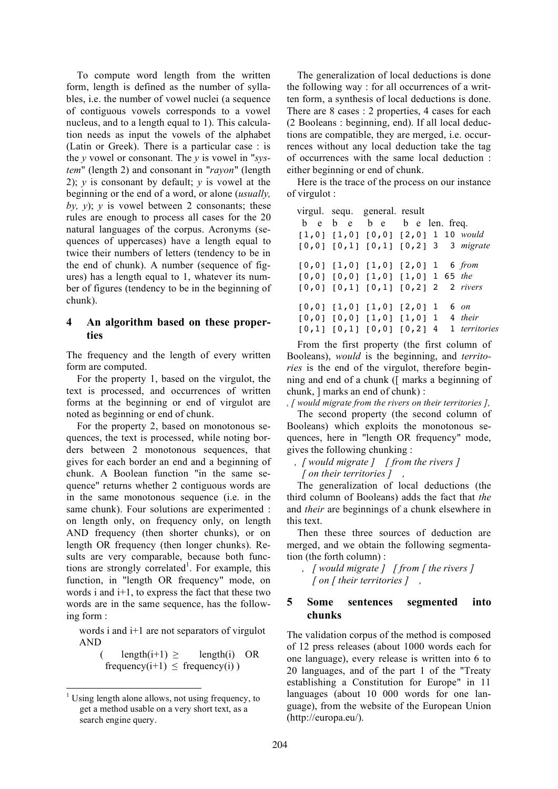To compute word length from the written form, length is defined as the number of syllables, i.e. the number of vowel nuclei (a sequence of contiguous vowels corresponds to a vowel nucleus, and to a length equal to 1). This calculation needs as input the vowels of the alphabet (Latin or Greek). There is a particular case : is the *y* vowel or consonant. The *y* is vowel in "*system*" (length 2) and consonant in "*rayon*" (length 2); *y* is consonant by default; *y* is vowel at the beginning or the end of a word, or alone (*usually,* by,  $y$ );  $y$  is vowel between 2 consonants; these rules are enough to process all cases for the 20 natural languages of the corpus. Acronyms (sequences of uppercases) have a length equal to twice their numbers of letters (tendency to be in the end of chunk). A number (sequence of figures) has a length equal to 1, whatever its number of figures (tendency to be in the beginning of chunk).

## **4 An algorithm based on these properties**

The frequency and the length of every written form are computed.

For the property 1, based on the virgulot, the text is processed, and occurrences of written forms at the beginning or end of virgulot are noted as beginning or end of chunk.

For the property 2, based on monotonous sequences, the text is processed, while noting borders between 2 monotonous sequences, that gives for each border an end and a beginning of chunk. A Boolean function "in the same sequence" returns whether 2 contiguous words are in the same monotonous sequence (i.e. in the same chunk). Four solutions are experimented : on length only, on frequency only, on length AND frequency (then shorter chunks), or on length OR frequency (then longer chunks). Results are very comparable, because both functions are strongly correlated<sup>1</sup>. For example, this function, in "length OR frequency" mode, on words i and i+1, to express the fact that these two words are in the same sequence, has the following form :

words i and i+1 are not separators of virgulot AND

$$
(\text{length}(i+1) \geq \text{length}(i) \text{ OR}
$$
  
frequency(i+1)  $\leq$  frequency(i))

The generalization of local deductions is done the following way : for all occurrences of a written form, a synthesis of local deductions is done. There are 8 cases : 2 properties, 4 cases for each (2 Booleans : beginning, end). If all local deductions are compatible, they are merged, i.e. occurrences without any local deduction take the tag of occurrences with the same local deduction : either beginning or end of chunk.

Here is the trace of the process on our instance of virgulot :

|  | virgul. sequ. general. result                     |  |                                                 |
|--|---------------------------------------------------|--|-------------------------------------------------|
|  | b e b e b e b e len. freq.                        |  |                                                 |
|  | $[1,0]$ $[1,0]$ $[0,0]$ $[2,0]$ 1 10 <i>would</i> |  |                                                 |
|  | $[0,0]$ $[0,1]$ $[0,1]$ $[0,2]$ 3 3 migrate       |  |                                                 |
|  | $[0,0]$ $[1,0]$ $[1,0]$ $[2,0]$ 1 6 from          |  |                                                 |
|  | $[0,0]$ $[0,0]$ $[1,0]$ $[1,0]$ 1 65 the          |  |                                                 |
|  | $[0,0]$ $[0,1]$ $[0,1]$ $[0,2]$ 2 2 rivers        |  |                                                 |
|  | $[0,0]$ $[1,0]$ $[1,0]$ $[2,0]$ $1$               |  | 6 on                                            |
|  | $[0,0]$ $[0,0]$ $[1,0]$ $[1,0]$ 1 4 their         |  |                                                 |
|  |                                                   |  | $[0,1]$ $[0,1]$ $[0,0]$ $[0,2]$ 4 1 territories |

From the first property (the first column of Booleans), *would* is the beginning, and *territories* is the end of the virgulot, therefore beginning and end of a chunk ([ marks a beginning of chunk, ] marks an end of chunk) :

*, [ would migrate from the rivers on their territories ],*

The second property (the second column of Booleans) which exploits the monotonous sequences, here in "length OR frequency" mode, gives the following chunking :

*, [ would migrate ] [ from the rivers ] [ on their territories ] ,*

The generalization of local deductions (the third column of Booleans) adds the fact that *the* and *their* are beginnings of a chunk elsewhere in this text.

Then these three sources of deduction are merged, and we obtain the following segmentation (the forth column) :

*, [ would migrate ] [ from [ the rivers ] [ on [ their territories ] ,*

## **5 Some sentences segmented into chunks**

The validation corpus of the method is composed of 12 press releases (about 1000 words each for one language), every release is written into 6 to 20 languages, and of the part 1 of the "Treaty establishing a Constitution for Europe" in 11 languages (about 10 000 words for one language), from the website of the European Union (http://europa.eu/).

 $1$  Using length alone allows, not using frequency, to get a method usable on a very short text, as a search engine query.